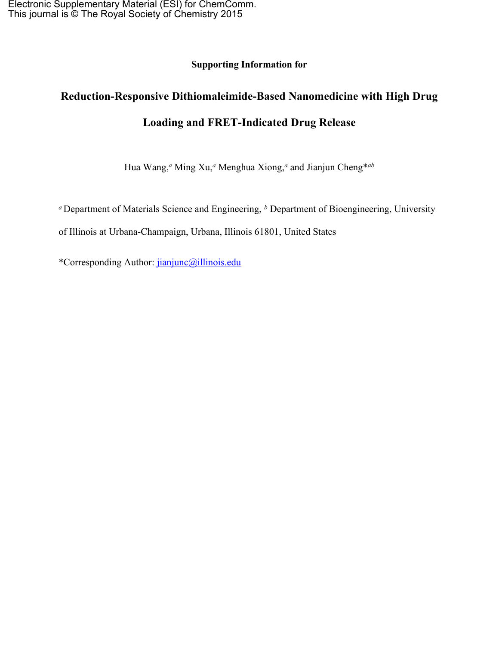**Supporting Information for**

# **Reduction-Responsive Dithiomaleimide-Based Nanomedicine with High Drug Loading and FRET-Indicated Drug Release**

Hua Wang,*<sup>a</sup>* Ming Xu,*<sup>a</sup>* Menghua Xiong,*<sup>a</sup>* and Jianjun Cheng\**ab*

*<sup>a</sup>* Department of Materials Science and Engineering, *<sup>b</sup>* Department of Bioengineering, University

of Illinois at Urbana-Champaign, Urbana, Illinois 61801, United States

\*Corresponding Author: [jianjunc@illinois.edu](mailto:jianjunc@illinois.edu)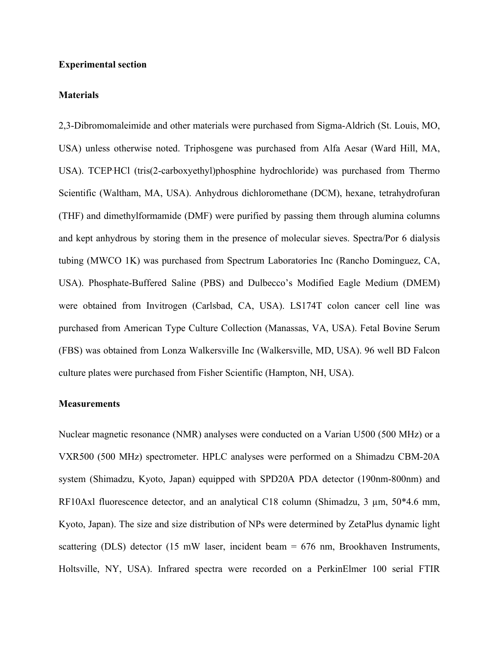### **Experimental section**

#### **Materials**

2,3-Dibromomaleimide and other materials were purchased from Sigma-Aldrich (St. Louis, MO, USA) unless otherwise noted. Triphosgene was purchased from Alfa Aesar (Ward Hill, MA, USA). TCEP.HCl (tris(2-carboxyethyl)phosphine hydrochloride) was purchased from Thermo Scientific (Waltham, MA, USA). Anhydrous dichloromethane (DCM), hexane, tetrahydrofuran (THF) and dimethylformamide (DMF) were purified by passing them through alumina columns and kept anhydrous by storing them in the presence of molecular sieves. Spectra/Por 6 dialysis tubing (MWCO 1K) was purchased from Spectrum Laboratories Inc (Rancho Dominguez, CA, USA). Phosphate-Buffered Saline (PBS) and Dulbecco's Modified Eagle Medium (DMEM) were obtained from Invitrogen (Carlsbad, CA, USA). LS174T colon cancer cell line was purchased from American Type Culture Collection (Manassas, VA, USA). Fetal Bovine Serum (FBS) was obtained from Lonza Walkersville Inc (Walkersville, MD, USA). 96 well BD Falcon culture plates were purchased from Fisher Scientific (Hampton, NH, USA).

### **Measurements**

Nuclear magnetic resonance (NMR) analyses were conducted on a Varian U500 (500 MHz) or a VXR500 (500 MHz) spectrometer. HPLC analyses were performed on a Shimadzu CBM-20A system (Shimadzu, Kyoto, Japan) equipped with SPD20A PDA detector (190nm-800nm) and RF10Axl fluorescence detector, and an analytical C18 column (Shimadzu, 3  $\mu$ m, 50\*4.6 mm, Kyoto, Japan). The size and size distribution of NPs were determined by ZetaPlus dynamic light scattering (DLS) detector (15 mW laser, incident beam = 676 nm, Brookhaven Instruments, Holtsville, NY, USA). Infrared spectra were recorded on a PerkinElmer 100 serial FTIR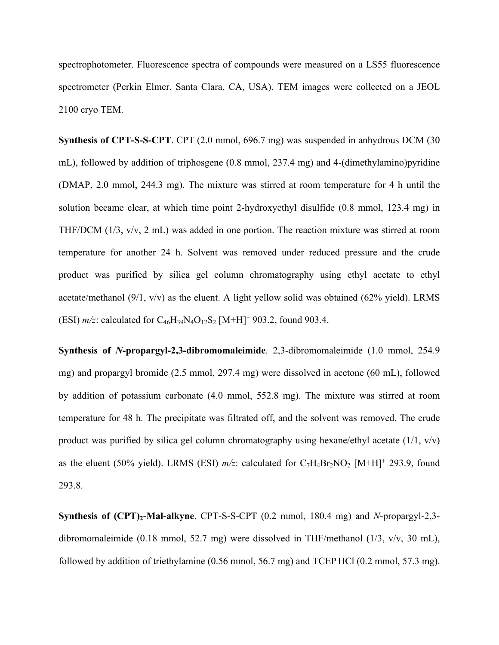spectrophotometer. Fluorescence spectra of compounds were measured on a LS55 fluorescence spectrometer (Perkin Elmer, Santa Clara, CA, USA). TEM images were collected on a JEOL 2100 cryo TEM.

**Synthesis of CPT-S-S-CPT**. CPT (2.0 mmol, 696.7 mg) was suspended in anhydrous DCM (30 mL), followed by addition of triphosgene (0.8 mmol, 237.4 mg) and 4-(dimethylamino)pyridine (DMAP, 2.0 mmol, 244.3 mg). The mixture was stirred at room temperature for 4 h until the solution became clear, at which time point 2-hydroxyethyl disulfide (0.8 mmol, 123.4 mg) in THF/DCM (1/3, v/v, 2 mL) was added in one portion. The reaction mixture was stirred at room temperature for another 24 h. Solvent was removed under reduced pressure and the crude product was purified by silica gel column chromatography using ethyl acetate to ethyl acetate/methanol (9/1, v/v) as the eluent. A light yellow solid was obtained (62% yield). LRMS (ESI)  $m/z$ : calculated for  $C_{46}H_{39}N_4O_{12}S_2$  [M+H]<sup>+</sup> 903.2, found 903.4.

**Synthesis of** *N***-propargyl-2,3-dibromomaleimide**. 2,3-dibromomaleimide (1.0 mmol, 254.9 mg) and propargyl bromide (2.5 mmol, 297.4 mg) were dissolved in acetone (60 mL), followed by addition of potassium carbonate (4.0 mmol, 552.8 mg). The mixture was stirred at room temperature for 48 h. The precipitate was filtrated off, and the solvent was removed. The crude product was purified by silica gel column chromatography using hexane/ethyl acetate  $(1/1, v/v)$ as the eluent (50% yield). LRMS (ESI)  $m/z$ : calculated for  $C_7H_4Br_2NO_2$  [M+H]<sup>+</sup> 293.9, found 293.8.

**Synthesis of (CPT)2-Mal-alkyne**. CPT-S-S-CPT (0.2 mmol, 180.4 mg) and *N*-propargyl-2,3 dibromomaleimide (0.18 mmol, 52.7 mg) were dissolved in THF/methanol (1/3, v/v, 30 mL), followed by addition of triethylamine (0.56 mmol, 56.7 mg) and TCEP.HCl (0.2 mmol, 57.3 mg).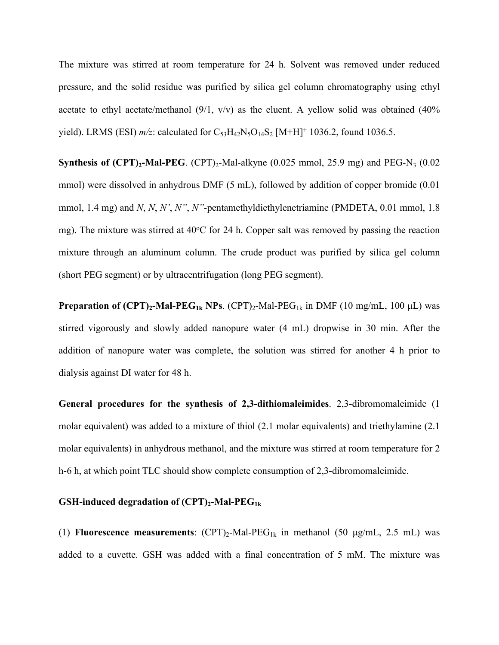The mixture was stirred at room temperature for 24 h. Solvent was removed under reduced pressure, and the solid residue was purified by silica gel column chromatography using ethyl acetate to ethyl acetate/methanol  $(9/1, v/v)$  as the eluent. A yellow solid was obtained  $(40\%$ yield). LRMS (ESI)  $m/z$ : calculated for  $C_{53}H_{42}N_5O_{14}S_2$  [M+H]<sup>+</sup> 1036.2, found 1036.5.

**Synthesis of**  $(CPT)$ **<sub>2</sub>-Mal-PEG**.  $(CPT)$ <sub>2</sub>-Mal-alkyne  $(0.025 \text{ mmol}, 25.9 \text{ mg})$  and PEG-N<sub>3</sub>  $(0.025 \text{ mmol}, 25.9 \text{ mg})$ mmol) were dissolved in anhydrous DMF (5 mL), followed by addition of copper bromide (0.01 mmol, 1.4 mg) and *N*, *N*, *N'*, *N''*, *N''*-pentamethyldiethylenetriamine (PMDETA, 0.01 mmol, 1.8 mg). The mixture was stirred at  $40^{\circ}$ C for 24 h. Copper salt was removed by passing the reaction mixture through an aluminum column. The crude product was purified by silica gel column (short PEG segment) or by ultracentrifugation (long PEG segment).

**Preparation of**  $(CPT)_{2}$ **-Mal-PEG<sub>1k</sub> NPs**.  $(CPT)_{2}$ -Mal-PEG<sub>1k</sub> in DMF (10 mg/mL, 100 µL) was stirred vigorously and slowly added nanopure water (4 mL) dropwise in 30 min. After the addition of nanopure water was complete, the solution was stirred for another 4 h prior to dialysis against DI water for 48 h.

**General procedures for the synthesis of 2,3-dithiomaleimides**. 2,3-dibromomaleimide (1 molar equivalent) was added to a mixture of thiol (2.1 molar equivalents) and triethylamine (2.1 molar equivalents) in anhydrous methanol, and the mixture was stirred at room temperature for 2 h-6 h, at which point TLC should show complete consumption of 2,3-dibromomaleimide.

## **GSH-induced degradation of (CPT)2-Mal-PEG1k**

(1) **Fluorescence measurements**: (CPT)2-Mal-PEG1k in methanol (50 μg/mL, 2.5 mL) was added to a cuvette. GSH was added with a final concentration of 5 mM. The mixture was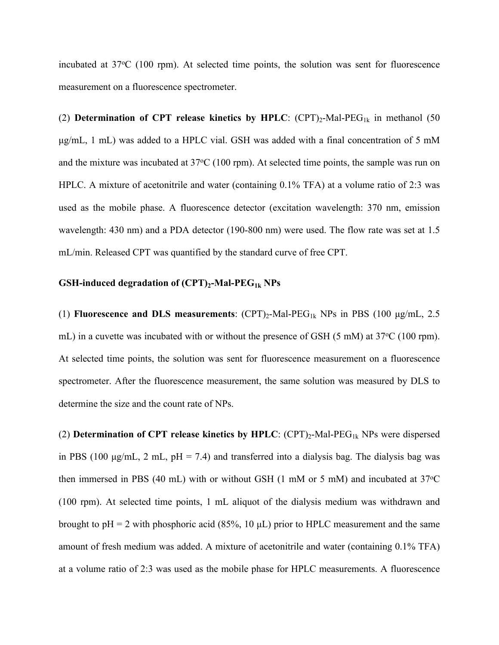incubated at 37<sup>o</sup>C (100 rpm). At selected time points, the solution was sent for fluorescence measurement on a fluorescence spectrometer.

(2) **Determination of CPT** release kinetics by HPLC:  $(CPT)_{2}$ -Mal-PEG<sub>1k</sub> in methanol (50) μg/mL, 1 mL) was added to a HPLC vial. GSH was added with a final concentration of 5 mM and the mixture was incubated at  $37^{\circ}$ C (100 rpm). At selected time points, the sample was run on HPLC. A mixture of acetonitrile and water (containing 0.1% TFA) at a volume ratio of 2:3 was used as the mobile phase. A fluorescence detector (excitation wavelength: 370 nm, emission wavelength: 430 nm) and a PDA detector (190-800 nm) were used. The flow rate was set at 1.5 mL/min. Released CPT was quantified by the standard curve of free CPT.

## **GSH-induced degradation of (CPT)2-Mal-PEG1k NPs**

(1) **Fluorescence and DLS measurements**:  $(CPT)_{2}$ -Mal-PEG<sub>1k</sub> NPs in PBS (100  $\mu$ g/mL, 2.5) mL) in a cuvette was incubated with or without the presence of GSH (5 mM) at 37<sup>o</sup>C (100 rpm). At selected time points, the solution was sent for fluorescence measurement on a fluorescence spectrometer. After the fluorescence measurement, the same solution was measured by DLS to determine the size and the count rate of NPs.

(2) **Determination of CPT release kinetics by HPLC**: (CPT)2-Mal-PEG1k NPs were dispersed in PBS (100  $\mu$ g/mL, 2 mL, pH = 7.4) and transferred into a dialysis bag. The dialysis bag was then immersed in PBS (40 mL) with or without GSH (1 mM or 5 mM) and incubated at 37°C (100 rpm). At selected time points, 1 mL aliquot of the dialysis medium was withdrawn and brought to  $pH = 2$  with phosphoric acid (85%, 10  $\mu$ L) prior to HPLC measurement and the same amount of fresh medium was added. A mixture of acetonitrile and water (containing 0.1% TFA) at a volume ratio of 2:3 was used as the mobile phase for HPLC measurements. A fluorescence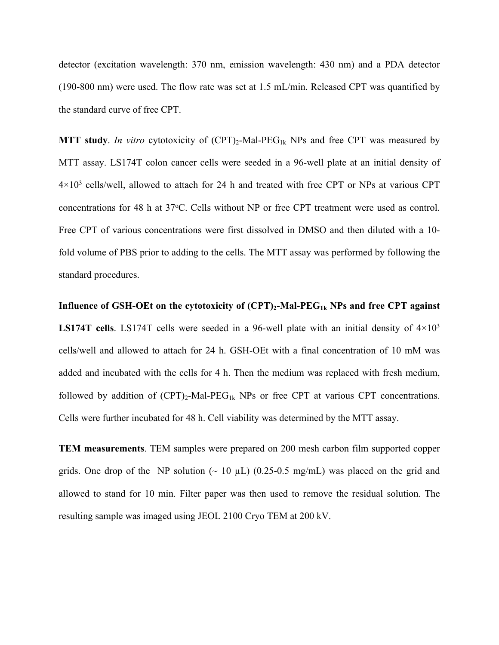detector (excitation wavelength: 370 nm, emission wavelength: 430 nm) and a PDA detector (190-800 nm) were used. The flow rate was set at 1.5 mL/min. Released CPT was quantified by the standard curve of free CPT.

**MTT** study. *In vitro* cytotoxicity of  $(CPT)_{2}$ -Mal-PEG<sub>1k</sub> NPs and free CPT was measured by MTT assay. LS174T colon cancer cells were seeded in a 96-well plate at an initial density of  $4\times10^3$  cells/well, allowed to attach for 24 h and treated with free CPT or NPs at various CPT concentrations for 48 h at 37 °C. Cells without NP or free CPT treatment were used as control. Free CPT of various concentrations were first dissolved in DMSO and then diluted with a 10 fold volume of PBS prior to adding to the cells. The MTT assay was performed by following the standard procedures.

**Influence of GSH-OEt on the cytotoxicity of (CPT)2-Mal-PEG1k NPs and free CPT against LS174T cells**. LS174T cells were seeded in a 96-well plate with an initial density of  $4 \times 10^3$ cells/well and allowed to attach for 24 h. GSH-OEt with a final concentration of 10 mM was added and incubated with the cells for 4 h. Then the medium was replaced with fresh medium, followed by addition of  $(CPT)_2$ -Mal-PEG<sub>1k</sub> NPs or free CPT at various CPT concentrations. Cells were further incubated for 48 h. Cell viability was determined by the MTT assay.

**TEM measurements**. TEM samples were prepared on 200 mesh carbon film supported copper grids. One drop of the NP solution ( $\sim 10 \mu L$ ) (0.25-0.5 mg/mL) was placed on the grid and allowed to stand for 10 min. Filter paper was then used to remove the residual solution. The resulting sample was imaged using JEOL 2100 Cryo TEM at 200 kV.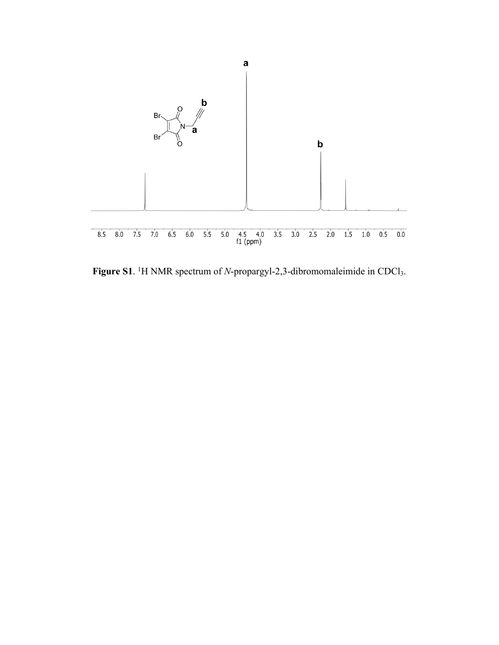

**Figure S1**. <sup>1</sup>H NMR spectrum of *N*-propargyl-2,3-dibromomaleimide in CDCl<sub>3</sub>.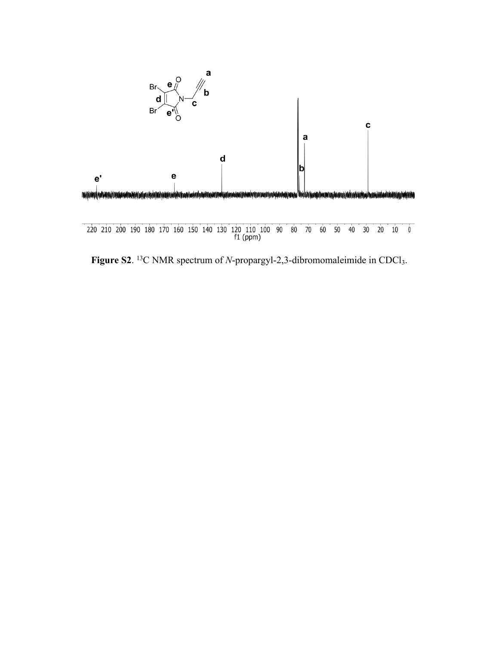

**Figure S2.** <sup>13</sup>C NMR spectrum of *N*-propargyl-2,3-dibromomaleimide in CDCl<sub>3</sub>.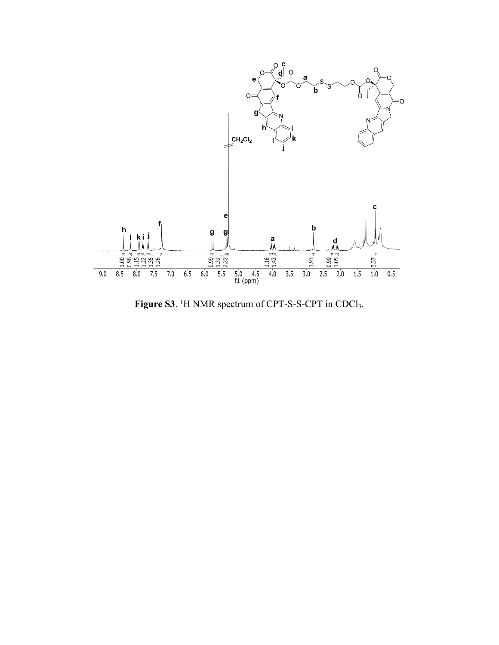

Figure S3. <sup>1</sup>H NMR spectrum of CPT-S-S-CPT in CDCl<sub>3</sub>.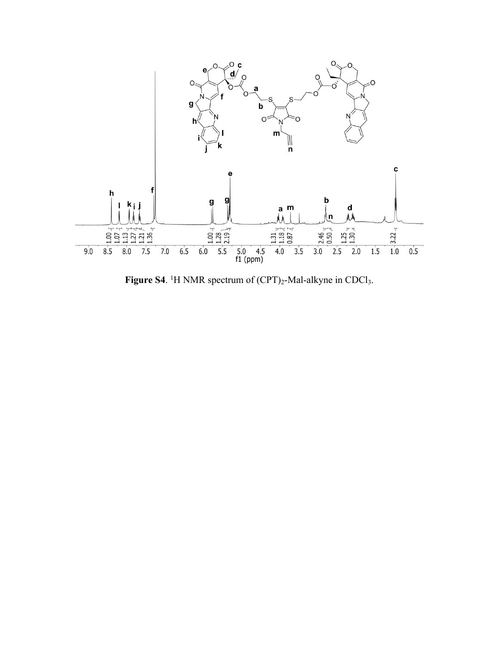

Figure S4. <sup>1</sup>H NMR spectrum of  $(CPT)_{2}$ -Mal-alkyne in CDCl<sub>3</sub>.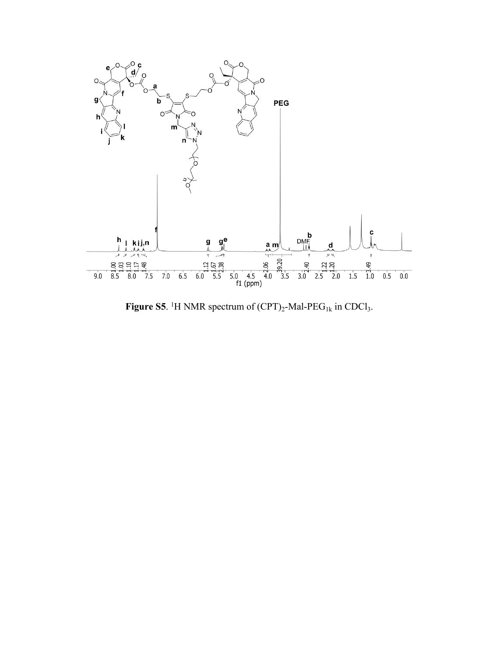

Figure S5. <sup>1</sup>H NMR spectrum of  $(CPT)_{2}$ -Mal-PEG<sub>1k</sub> in CDCl<sub>3</sub>.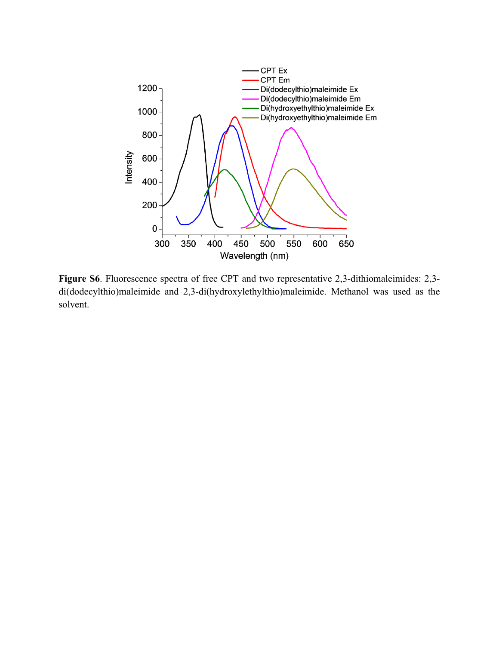

**Figure S6**. Fluorescence spectra of free CPT and two representative 2,3-dithiomaleimides: 2,3 di(dodecylthio)maleimide and 2,3-di(hydroxylethylthio)maleimide. Methanol was used as the solvent.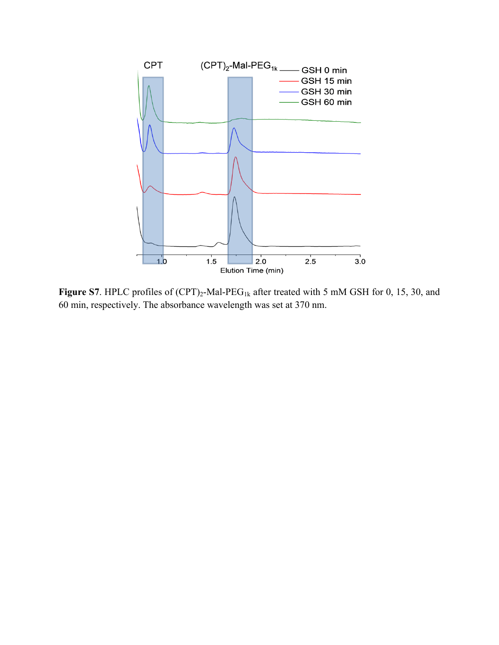

**Figure S7**. HPLC profiles of  $(CPT)_2$ -Mal-PEG<sub>1k</sub> after treated with 5 mM GSH for 0, 15, 30, and 60 min, respectively. The absorbance wavelength was set at 370 nm.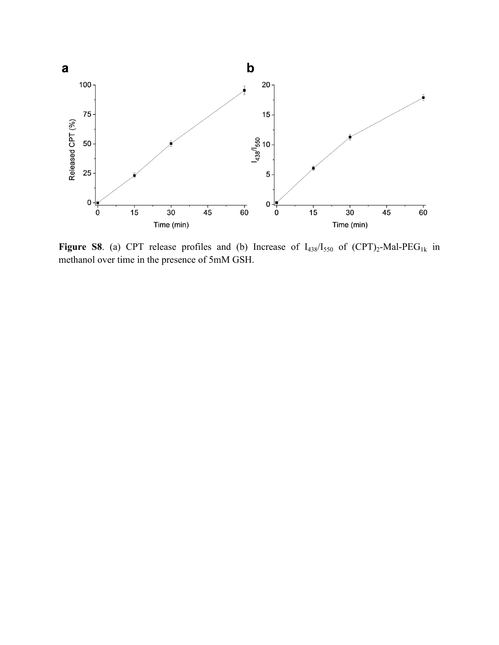

**Figure S8**. (a) CPT release profiles and (b) Increase of  $I_{438}/I_{550}$  of  $(CPT)_2$ -Mal-PEG<sub>1k</sub> in methanol over time in the presence of 5mM GSH.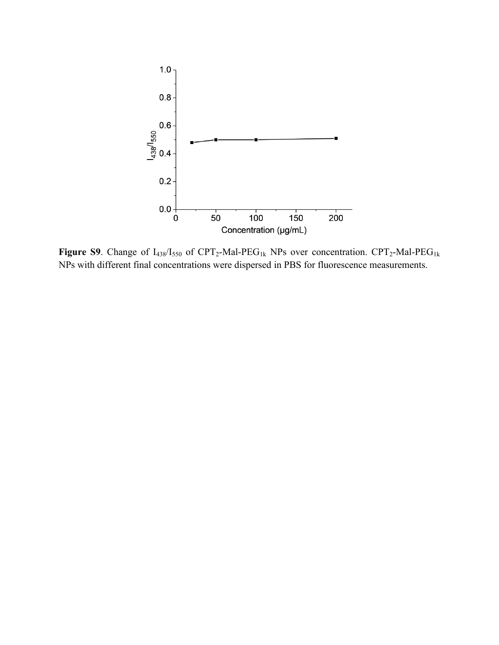

Figure S9. Change of  $I_{438}/I_{550}$  of CPT<sub>2</sub>-Mal-PEG<sub>1k</sub> NPs over concentration. CPT<sub>2</sub>-Mal-PEG<sub>1k</sub> NPs with different final concentrations were dispersed in PBS for fluorescence measurements.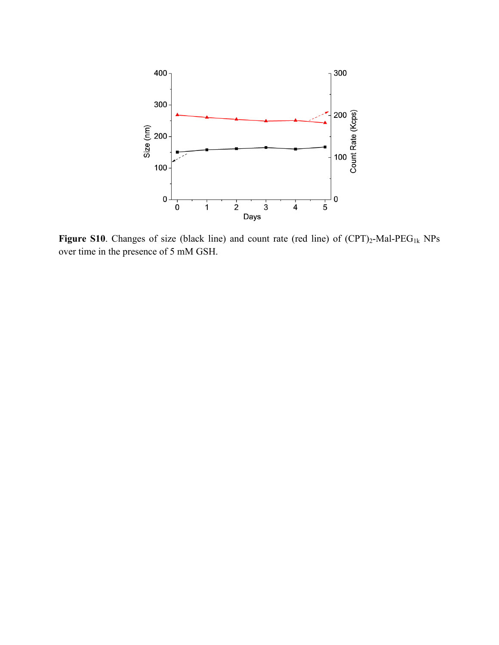

**Figure S10**. Changes of size (black line) and count rate (red line) of  $(CPT)_{2}$ -Mal-PEG<sub>1k</sub> NPs over time in the presence of 5 mM GSH.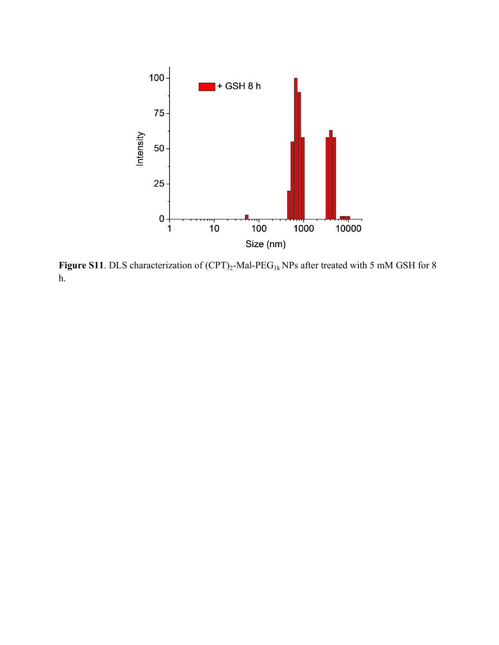

**Figure S11**. DLS characterization of (CPT)<sub>2</sub>-Mal-PEG<sub>1k</sub> NPs after treated with 5 mM GSH for 8 h.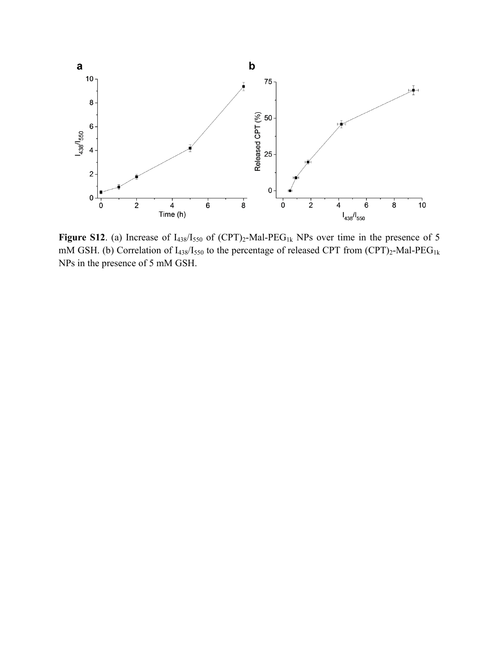

**Figure S12**. (a) Increase of  $I_{438}/I_{550}$  of  $(CPT)_2$ -Mal-PEG<sub>1k</sub> NPs over time in the presence of 5 mM GSH. (b) Correlation of  $I_{438}/I_{550}$  to the percentage of released CPT from (CPT)<sub>2</sub>-Mal-PEG<sub>1k</sub> NPs in the presence of 5 mM GSH.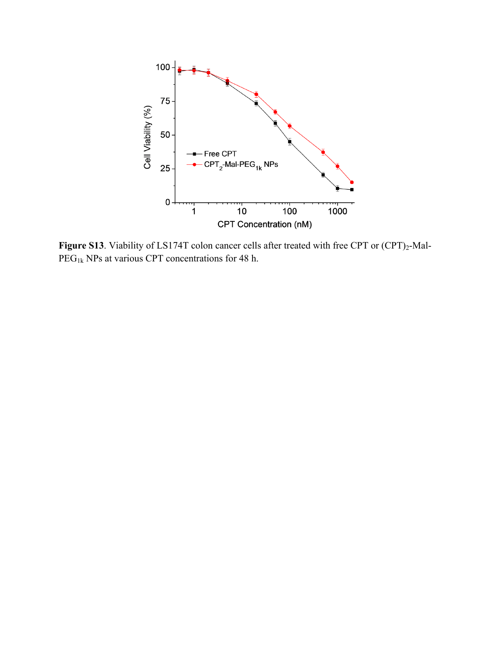

**Figure S13**. Viability of LS174T colon cancer cells after treated with free CPT or (CPT)<sub>2</sub>-Mal- $\overline{PEG}_{1k}$  NPs at various CPT concentrations for 48 h.